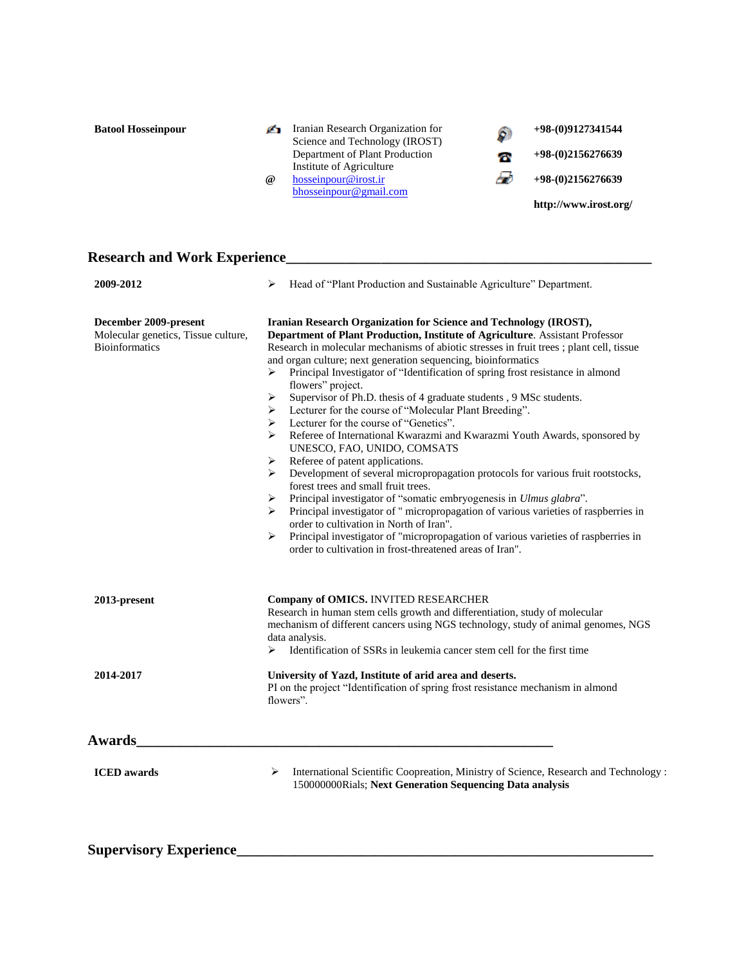**Batool Hosseinpour**

- **@** Iranian Research Organization for Science and Technology (IROST) Department of Plant Production Institute of Agriculture [hosseinpour@irost.ir](mailto:hosseinpour@irost.ir)
- [bhosseinpour@gmail.com](mailto:bhosseinpour@gmail.com)

#### **+98-(0)9127341544** Þ **+98-(0)2156276639** ÝМ Б **+98-(0)2156276639 http://www.irost.org/**

### **Research and Work Experience\_\_\_\_\_\_\_\_\_\_\_\_\_\_\_\_\_\_\_\_\_\_\_\_\_\_\_\_\_\_\_\_\_\_\_\_\_\_\_\_\_\_\_\_\_\_\_\_\_\_**

| 2009-2012 |  |
|-----------|--|
|           |  |

Head of "Plant Production and Sustainable Agriculture" Department.

| December 2009-present<br>Molecular genetics, Tissue culture,<br><b>Bioinformatics</b> | Iranian Research Organization for Science and Technology (IROST),<br>Department of Plant Production, Institute of Agriculture. Assistant Professor<br>Research in molecular mechanisms of abiotic stresses in fruit trees; plant cell, tissue<br>and organ culture; next generation sequencing, bioinformatics<br>Principal Investigator of "Identification of spring frost resistance in almond<br>≻<br>flowers" project.<br>Supervisor of Ph.D. thesis of 4 graduate students, 9 MSc students.<br>➤<br>Lecturer for the course of "Molecular Plant Breeding".<br>➤<br>Lecturer for the course of "Genetics".<br>➤<br>$\blacktriangleright$<br>Referee of International Kwarazmi and Kwarazmi Youth Awards, sponsored by<br>UNESCO, FAO, UNIDO, COMSATS<br>Referee of patent applications.<br>➤<br>Development of several micropropagation protocols for various fruit rootstocks,<br>➤<br>forest trees and small fruit trees.<br>Principal investigator of "somatic embryogenesis in Ulmus glabra".<br>➤<br>Principal investigator of " micropropagation of various varieties of raspberries in<br>➤<br>order to cultivation in North of Iran".<br>Principal investigator of "micropropagation of various varieties of raspberries in<br>$\blacktriangleright$<br>order to cultivation in frost-threatened areas of Iran". |
|---------------------------------------------------------------------------------------|------------------------------------------------------------------------------------------------------------------------------------------------------------------------------------------------------------------------------------------------------------------------------------------------------------------------------------------------------------------------------------------------------------------------------------------------------------------------------------------------------------------------------------------------------------------------------------------------------------------------------------------------------------------------------------------------------------------------------------------------------------------------------------------------------------------------------------------------------------------------------------------------------------------------------------------------------------------------------------------------------------------------------------------------------------------------------------------------------------------------------------------------------------------------------------------------------------------------------------------------------------------------------------------------------------------------------|
| 2013-present                                                                          | Company of OMICS. INVITED RESEARCHER<br>Research in human stem cells growth and differentiation, study of molecular<br>mechanism of different cancers using NGS technology, study of animal genomes, NGS<br>data analysis.<br>$\triangleright$ Identification of SSRs in leukemia cancer stem cell for the first time                                                                                                                                                                                                                                                                                                                                                                                                                                                                                                                                                                                                                                                                                                                                                                                                                                                                                                                                                                                                        |
| 2014-2017                                                                             | University of Yazd, Institute of arid area and deserts.<br>PI on the project "Identification of spring frost resistance mechanism in almond<br>flowers".                                                                                                                                                                                                                                                                                                                                                                                                                                                                                                                                                                                                                                                                                                                                                                                                                                                                                                                                                                                                                                                                                                                                                                     |
| Awards                                                                                |                                                                                                                                                                                                                                                                                                                                                                                                                                                                                                                                                                                                                                                                                                                                                                                                                                                                                                                                                                                                                                                                                                                                                                                                                                                                                                                              |
| <b>ICED</b> awards                                                                    | International Scientific Coopreation, Ministry of Science, Research and Technology :<br>➤<br>150000000Rials; Next Generation Sequencing Data analysis                                                                                                                                                                                                                                                                                                                                                                                                                                                                                                                                                                                                                                                                                                                                                                                                                                                                                                                                                                                                                                                                                                                                                                        |

**Supervisory Experience**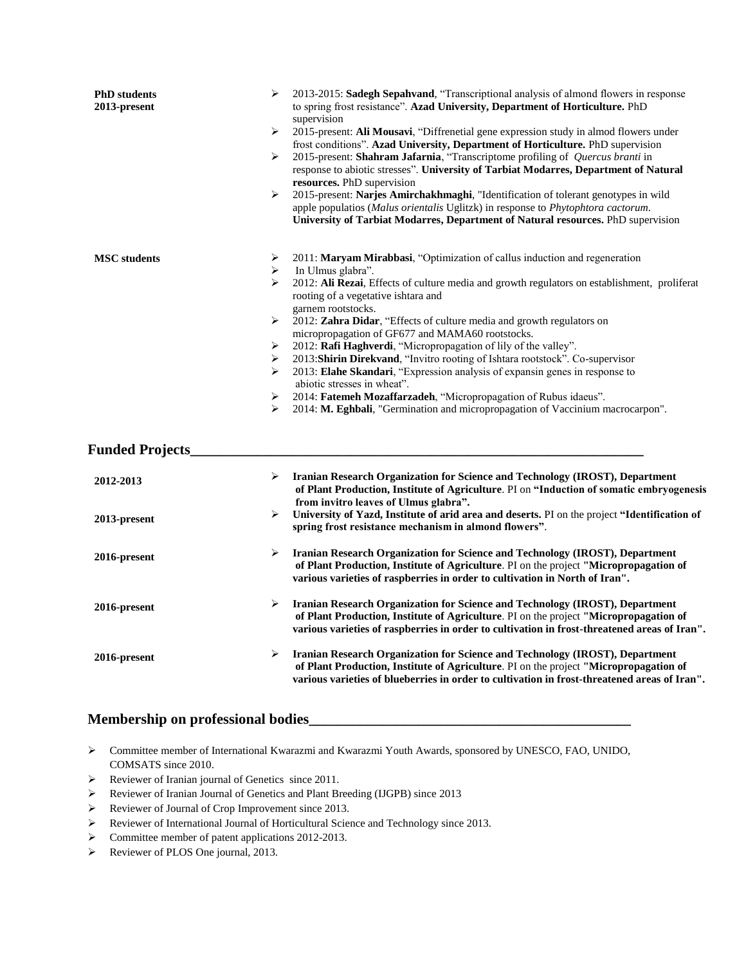| <b>PhD</b> students<br>2013-present | 2013-2015: Sadegh Sepahvand, "Transcriptional analysis of almond flowers in response<br>➤<br>to spring frost resistance". Azad University, Department of Horticulture. PhD<br>supervision |
|-------------------------------------|-------------------------------------------------------------------------------------------------------------------------------------------------------------------------------------------|
|                                     | 2015-present: Ali Mousavi, "Diffrenetial gene expression study in almod flowers under<br>➤                                                                                                |
|                                     | frost conditions". Azad University, Department of Horticulture. PhD supervision                                                                                                           |
|                                     | 2015-present: Shahram Jafarnia, "Transcriptome profiling of Quercus branti in<br>➤                                                                                                        |
|                                     | response to abiotic stresses". University of Tarbiat Modarres, Department of Natural                                                                                                      |
|                                     | resources. PhD supervision                                                                                                                                                                |
|                                     | ➤<br>2015-present: Narjes Amirchakhmaghi, "Identification of tolerant genotypes in wild                                                                                                   |
|                                     | apple populatios (Malus orientalis Uglitzk) in response to Phytophtora cactorum.                                                                                                          |
|                                     | University of Tarbiat Modarres, Department of Natural resources. PhD supervision                                                                                                          |
| <b>MSC</b> students                 | 2011: Maryam Mirabbasi, "Optimization of callus induction and regeneration<br>➤                                                                                                           |
|                                     | ➤<br>In Ulmus glabra".                                                                                                                                                                    |
|                                     | $\blacktriangleright$<br>2012: Ali Rezai, Effects of culture media and growth regulators on establishment, proliferat<br>rooting of a vegetative ishtara and                              |
|                                     | garnem rootstocks.                                                                                                                                                                        |
|                                     | 2012: Zahra Didar, "Effects of culture media and growth regulators on<br>➤                                                                                                                |
|                                     | micropropagation of GF677 and MAMA60 rootstocks.                                                                                                                                          |
|                                     | 2012: Rafi Haghverdi, "Micropropagation of lily of the valley".<br>➤                                                                                                                      |
|                                     | 2013: Shirin Direkvand, "Invitro rooting of Ishtara rootstock". Co-supervisor<br>➤                                                                                                        |
|                                     | 2013: Elahe Skandari, "Expression analysis of expansin genes in response to<br>➤                                                                                                          |
|                                     | abiotic stresses in wheat".                                                                                                                                                               |
|                                     | 2014: Fatemeh Mozaffarzadeh, "Micropropagation of Rubus idaeus".<br>➤                                                                                                                     |
|                                     | 2014: M. Eghbali, "Germination and micropropagation of Vaccinium macrocarpon".<br>⋗                                                                                                       |
| <b>Funded Projects</b>              |                                                                                                                                                                                           |
| 2012-2013                           | Iranian Research Organization for Science and Technology (IROST), Department<br>➤<br>of Plant Production, Institute of Agriculture. PI on "Induction of somatic embryogenesis             |
|                                     | from invitro leaves of Ulmus glabra".                                                                                                                                                     |
| 2013-present                        | ➤<br>University of Yazd, Institute of arid area and deserts. PI on the project "Identification of                                                                                         |
|                                     | spring frost resistance mechanism in almond flowers".                                                                                                                                     |
| 2016-present                        | Iranian Research Organization for Science and Technology (IROST), Department<br>➤                                                                                                         |
|                                     | of Plant Production, Institute of Agriculture. PI on the project "Micropropagation of<br>various varieties of raspberries in order to cultivation in North of Iran".                      |
| 2016-present                        | Iranian Research Organization for Science and Technology (IROST), Department<br>➤                                                                                                         |
|                                     | of Plant Production, Institute of Agriculture. PI on the project "Micropropagation of<br>various varieties of raspberries in order to cultivation in frost-threatened areas of Iran".     |
| 2016-present                        | Iranian Research Organization for Science and Technology (IROST), Department<br>➤                                                                                                         |

### **Membership on professional bodies\_\_\_\_\_\_\_\_\_\_\_\_\_\_\_\_\_\_\_\_\_\_\_\_\_\_\_\_\_\_\_\_\_\_\_\_\_\_\_\_\_\_\_\_**

 Committee member of International Kwarazmi and Kwarazmi Youth Awards, sponsored by UNESCO, FAO, UNIDO, COMSATS since 2010.

**of Plant Production, Institute of Agriculture**. PI on the project **"Micropropagation of various varieties of blueberries in order to cultivation in frost-threatened areas of Iran".**

- Reviewer of Iranian journal of Genetics since 2011.
- Reviewer of Iranian Journal of Genetics and Plant Breeding (IJGPB) since 2013
- Reviewer of Journal of Crop Improvement since 2013.
- Reviewer of International Journal of Horticultural Science and Technology since 2013.
- Committee member of patent applications 2012-2013.
- Reviewer of PLOS One journal, 2013.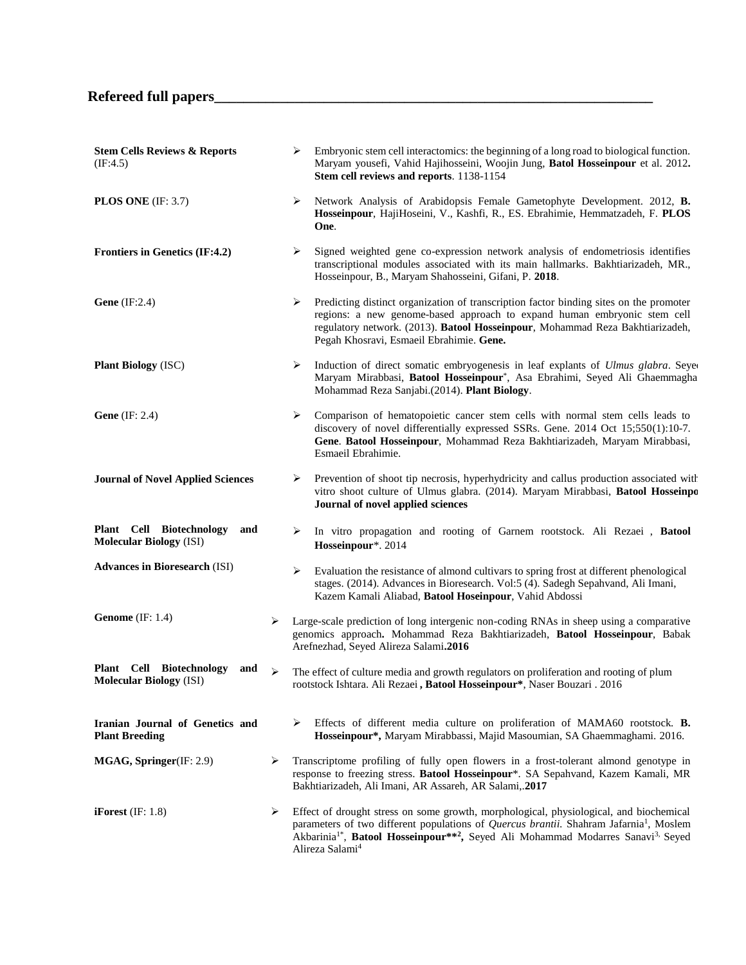# **Refereed full papers\_\_\_\_\_\_\_\_\_\_\_\_\_\_\_\_\_\_\_\_\_\_\_\_\_\_\_\_\_\_\_\_\_\_\_\_\_\_\_\_\_\_\_\_\_\_\_\_\_\_\_\_\_\_\_\_\_\_\_\_**

| <b>Stem Cells Reviews &amp; Reports</b><br>(IF:4.5)               |   | ➤ | Embryonic stem cell interactomics: the beginning of a long road to biological function.<br>Maryam yousefi, Vahid Hajihosseini, Woojin Jung, Batol Hosseinpour et al. 2012.<br>Stem cell reviews and reports. 1138-1154                                                                                                                                      |
|-------------------------------------------------------------------|---|---|-------------------------------------------------------------------------------------------------------------------------------------------------------------------------------------------------------------------------------------------------------------------------------------------------------------------------------------------------------------|
| <b>PLOS ONE</b> (IF: $3.7$ )                                      |   | ➤ | Network Analysis of Arabidopsis Female Gametophyte Development. 2012, B.<br>Hosseinpour, HajiHoseini, V., Kashfi, R., ES. Ebrahimie, Hemmatzadeh, F. PLOS<br>One.                                                                                                                                                                                           |
| <b>Frontiers in Genetics (IF:4.2)</b>                             |   | ➤ | Signed weighted gene co-expression network analysis of endometriosis identifies<br>transcriptional modules associated with its main hallmarks. Bakhtiarizadeh, MR.,<br>Hosseinpour, B., Maryam Shahosseini, Gifani, P. 2018.                                                                                                                                |
| Gene $(IF:2.4)$                                                   |   | ➤ | Predicting distinct organization of transcription factor binding sites on the promoter<br>regions: a new genome-based approach to expand human embryonic stem cell<br>regulatory network. (2013). Batool Hosseinpour, Mohammad Reza Bakhtiarizadeh,<br>Pegah Khosravi, Esmaeil Ebrahimie. Gene.                                                             |
| <b>Plant Biology</b> (ISC)                                        |   | ➤ | Induction of direct somatic embryogenesis in leaf explants of Ulmus glabra. Seye<br>Maryam Mirabbasi, Batool Hosseinpour*, Asa Ebrahimi, Seyed Ali Ghaemmagha<br>Mohammad Reza Sanjabi.(2014). Plant Biology.                                                                                                                                               |
| Gene $(IF: 2.4)$                                                  |   | ➤ | Comparison of hematopoietic cancer stem cells with normal stem cells leads to<br>discovery of novel differentially expressed SSRs. Gene. 2014 Oct 15;550(1):10-7.<br>Gene. Batool Hosseinpour, Mohammad Reza Bakhtiarizadeh, Maryam Mirabbasi,<br>Esmaeil Ebrahimie.                                                                                        |
| <b>Journal of Novel Applied Sciences</b>                          |   | ➤ | Prevention of shoot tip necrosis, hyperhydricity and callus production associated with<br>vitro shoot culture of Ulmus glabra. (2014). Maryam Mirabbasi, Batool Hosseinpo<br>Journal of novel applied sciences                                                                                                                                              |
| Plant Cell Biotechnology<br>and<br><b>Molecular Biology (ISI)</b> |   | ➤ | In vitro propagation and rooting of Garnem rootstock. Ali Rezaei, Batool<br>Hosseinpour*. 2014                                                                                                                                                                                                                                                              |
| <b>Advances in Bioresearch (ISI)</b>                              |   | ➤ | Evaluation the resistance of almond cultivars to spring frost at different phenological<br>stages. (2014). Advances in Bioresearch. Vol:5 (4). Sadegh Sepahvand, Ali Imani,<br>Kazem Kamali Aliabad, Batool Hoseinpour, Vahid Abdossi                                                                                                                       |
| Genome $(IF: 1.4)$                                                | ➤ |   | Large-scale prediction of long intergenic non-coding RNAs in sheep using a comparative<br>genomics approach. Mohammad Reza Bakhtiarizadeh, Batool Hosseinpour, Babak<br>Arefnezhad, Seyed Alireza Salami.2016                                                                                                                                               |
| Plant Cell Biotechnology<br>and<br><b>Molecular Biology (ISI)</b> | ➤ |   | The effect of culture media and growth regulators on proliferation and rooting of plum<br>rootstock Ishtara. Ali Rezaei, Batool Hosseinpour*, Naser Bouzari. 2016                                                                                                                                                                                           |
| Iranian Journal of Genetics and<br><b>Plant Breeding</b>          |   | ≻ | Effects of different media culture on proliferation of MAMA60 rootstock. B.<br>Hosseinpour*, Maryam Mirabbassi, Majid Masoumian, SA Ghaemmaghami. 2016.                                                                                                                                                                                                     |
| MGAG, Springer(IF: 2.9)                                           | ➤ |   | Transcriptome profiling of fully open flowers in a frost-tolerant almond genotype in<br>response to freezing stress. Batool Hosseinpour*. SA Sepahvand, Kazem Kamali, MR<br>Bakhtiarizadeh, Ali Imani, AR Assareh, AR Salami, 2017                                                                                                                          |
| iForest $(IF: 1.8)$                                               | ➤ |   | Effect of drought stress on some growth, morphological, physiological, and biochemical<br>parameters of two different populations of <i>Quercus brantii</i> . Shahram Jafarnia <sup>1</sup> , Moslem<br>Akbarinia <sup>1*</sup> , Batool Hosseinpour** <sup>2</sup> , Seyed Ali Mohammad Modarres Sanavi <sup>3,</sup> Seyed<br>Alireza Salami <sup>4</sup> |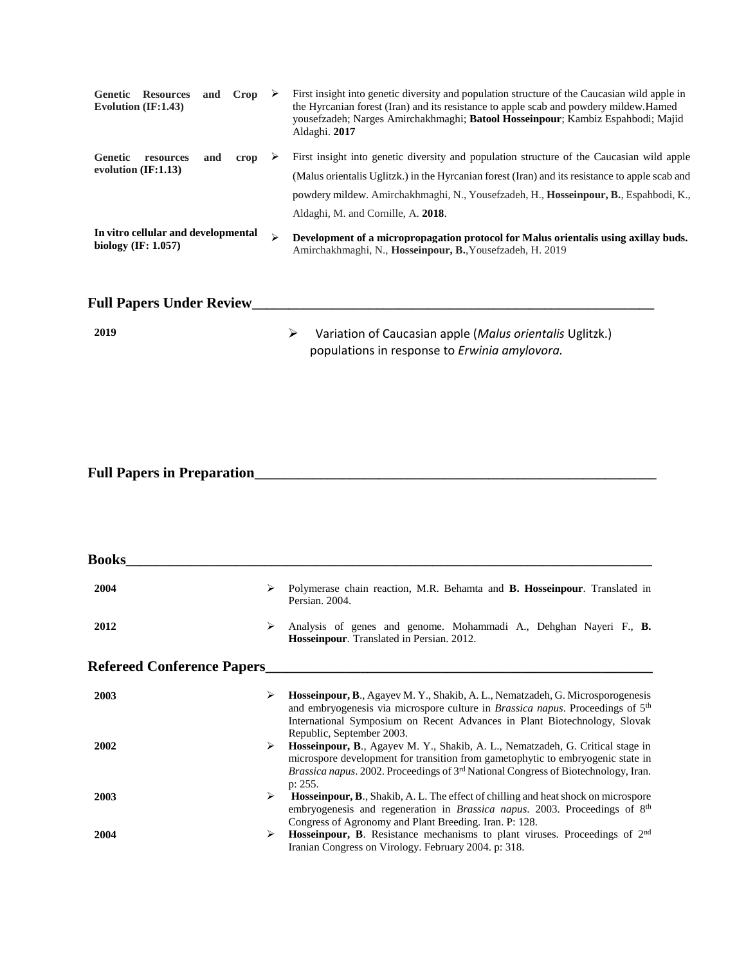| <b>Genetic</b><br>Evolution $(\text{IF}:1.43)$ | <b>Resources</b>                    | and | Crop |   | First insight into genetic diversity and population structure of the Caucasian wild apple in<br>the Hyrcanian forest (Iran) and its resistance to apple scab and powdery mildew. Hamed<br>yousefzadeh; Narges Amirchakhmaghi; Batool Hosseinpour; Kambiz Espahbodi; Majid<br>Aldaghi. 2017                                 |
|------------------------------------------------|-------------------------------------|-----|------|---|----------------------------------------------------------------------------------------------------------------------------------------------------------------------------------------------------------------------------------------------------------------------------------------------------------------------------|
| <b>Genetic</b><br>evolution $(\text{IF}:1.13)$ | resources                           | and | crop | ➤ | First insight into genetic diversity and population structure of the Caucasian wild apple<br>(Malus orientalis Uglitzk.) in the Hyrcanian forest (Iran) and its resistance to apple scab and<br>powdery mildew. Amirchakhmaghi, N., Yousefzadeh, H., Hosseinpour, B., Espahbodi, K.,<br>Aldaghi, M. and Cornille, A. 2018. |
| biology $(IF: 1.057)$                          | In vitro cellular and developmental |     |      | ↘ | Development of a micropropagation protocol for Malus orientalis using axillay buds.<br>Amirchakhmaghi, N., Hosseinpour, B., Yousefzadeh, H. 2019                                                                                                                                                                           |

## **Full Papers Under Review\_\_\_\_\_\_\_\_\_\_\_\_\_\_\_\_\_\_\_\_\_\_\_\_\_\_\_\_\_\_\_\_\_\_\_\_\_\_\_\_\_\_\_\_\_\_\_\_\_\_\_\_\_\_\_**

**2019** Variation of Caucasian apple (*Malus orientalis* Uglitzk.) populations in response to *Erwinia amylovora.*

**Full Papers in Preparation\_\_\_\_\_\_\_\_\_\_\_\_\_\_\_\_\_\_\_\_\_\_\_\_\_\_\_\_\_\_\_\_\_\_\_\_\_\_\_\_\_\_\_\_\_\_\_\_\_\_\_\_\_\_\_**

| <b>Full Papers in Preparation</b> |  |
|-----------------------------------|--|
|-----------------------------------|--|

| <b>Books</b>                       |   |                                                                                                                                                                                                                                                                                                        |
|------------------------------------|---|--------------------------------------------------------------------------------------------------------------------------------------------------------------------------------------------------------------------------------------------------------------------------------------------------------|
| 2004                               | ⋗ | Polymerase chain reaction, M.R. Behamta and <b>B. Hosseinpour</b> . Translated in<br>Persian. 2004.                                                                                                                                                                                                    |
| 2012                               | ⋗ | Analysis of genes and genome. Mohammadi A., Dehghan Nayeri F., B.<br><b>Hosseinpour.</b> Translated in Persian. 2012.                                                                                                                                                                                  |
| <b>Refereed Conference Papers_</b> |   |                                                                                                                                                                                                                                                                                                        |
| 2003                               | ➤ | <b>Hosseinpour, B.</b> , Agayev M. Y., Shakib, A. L., Nematzadeh, G. Microsporogenesis<br>and embryogenesis via microspore culture in <i>Brassica napus</i> . Proceedings of 5 <sup>th</sup><br>International Symposium on Recent Advances in Plant Biotechnology, Slovak<br>Republic, September 2003. |
| 2002                               | ➤ | Hosseinpour, B., Agayev M. Y., Shakib, A. L., Nematzadeh, G. Critical stage in<br>microspore development for transition from gametophytic to embryogenic state in<br><i>Brassica napus.</i> 2002. Proceedings of 3 <sup>rd</sup> National Congress of Biotechnology, Iran.<br>p: 255.                  |
| 2003                               | ⋗ | <b>Hosseinpour, B.</b> , Shakib, A. L. The effect of chilling and heat shock on microspore<br>embryogenesis and regeneration in <i>Brassica napus</i> . 2003. Proceedings of 8 <sup>th</sup>                                                                                                           |
| 2004                               | ➤ | Congress of Agronomy and Plant Breeding. Iran. P: 128.<br><b>Hosseinpour, B.</b> Resistance mechanisms to plant viruses. Proceedings of 2 <sup>nd</sup><br>Iranian Congress on Virology. February 2004. p: 318.                                                                                        |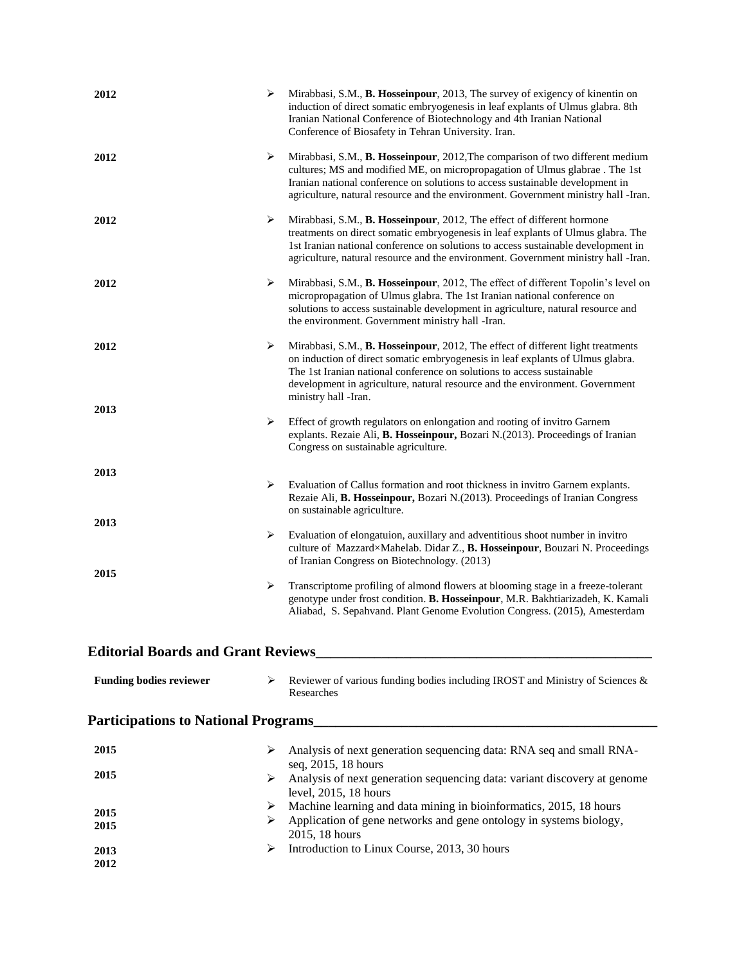| 2012                                       | ➤      | Mirabbasi, S.M., B. Hosseinpour, 2013, The survey of exigency of kinentin on<br>induction of direct somatic embryogenesis in leaf explants of Ulmus glabra. 8th<br>Iranian National Conference of Biotechnology and 4th Iranian National<br>Conference of Biosafety in Tehran University. Iran.                                                             |
|--------------------------------------------|--------|-------------------------------------------------------------------------------------------------------------------------------------------------------------------------------------------------------------------------------------------------------------------------------------------------------------------------------------------------------------|
| 2012                                       | ➤      | Mirabbasi, S.M., B. Hosseinpour, 2012, The comparison of two different medium<br>cultures; MS and modified ME, on micropropagation of Ulmus glabrae . The 1st<br>Iranian national conference on solutions to access sustainable development in<br>agriculture, natural resource and the environment. Government ministry hall -Iran.                        |
| 2012                                       | ➤      | Mirabbasi, S.M., <b>B. Hosseinpour</b> , 2012, The effect of different hormone<br>treatments on direct somatic embryogenesis in leaf explants of Ulmus glabra. The<br>1st Iranian national conference on solutions to access sustainable development in<br>agriculture, natural resource and the environment. Government ministry hall -Iran.               |
| 2012                                       | ➤      | Mirabbasi, S.M., B. Hosseinpour, 2012, The effect of different Topolin's level on<br>micropropagation of Ulmus glabra. The 1st Iranian national conference on<br>solutions to access sustainable development in agriculture, natural resource and<br>the environment. Government ministry hall -Iran.                                                       |
| 2012                                       | ➤      | Mirabbasi, S.M., <b>B. Hosseinpour</b> , 2012, The effect of different light treatments<br>on induction of direct somatic embryogenesis in leaf explants of Ulmus glabra.<br>The 1st Iranian national conference on solutions to access sustainable<br>development in agriculture, natural resource and the environment. Government<br>ministry hall -Iran. |
| 2013                                       | ➤      | Effect of growth regulators on enlongation and rooting of invitro Garnem<br>explants. Rezaie Ali, B. Hosseinpour, Bozari N.(2013). Proceedings of Iranian<br>Congress on sustainable agriculture.                                                                                                                                                           |
| 2013                                       | ➤      | Evaluation of Callus formation and root thickness in invitro Garnem explants.<br>Rezaie Ali, B. Hosseinpour, Bozari N.(2013). Proceedings of Iranian Congress<br>on sustainable agriculture.                                                                                                                                                                |
| 2013                                       | ➤      | Evaluation of elongatuion, auxillary and adventitious shoot number in invitro<br>culture of Mazzard×Mahelab. Didar Z., B. Hosseinpour, Bouzari N. Proceedings<br>of Iranian Congress on Biotechnology. (2013)                                                                                                                                               |
| 2015                                       | ➤      | Transcriptome profiling of almond flowers at blooming stage in a freeze-tolerant<br>genotype under frost condition. B. Hosseinpour, M.R. Bakhtiarizadeh, K. Kamali<br>Aliabad, S. Sepahvand. Plant Genome Evolution Congress. (2015), Amesterdam                                                                                                            |
| <b>Editorial Boards and Grant Reviews</b>  |        |                                                                                                                                                                                                                                                                                                                                                             |
| <b>Funding bodies reviewer</b>             | ➤      | Reviewer of various funding bodies including IROST and Ministry of Sciences &<br>Researches                                                                                                                                                                                                                                                                 |
| <b>Participations to National Programs</b> |        | the control of the control of the control of the control of the control of the control of the control of the control of the control of the control of the control of the control of the control of the control of the control                                                                                                                               |
| 2015                                       | ⋗      | Analysis of next generation sequencing data: RNA seq and small RNA-<br>seq, 2015, 18 hours                                                                                                                                                                                                                                                                  |
| 2015                                       | ➤      | Analysis of next generation sequencing data: variant discovery at genome<br>level, 2015, 18 hours                                                                                                                                                                                                                                                           |
| 2015<br>2015                               | ➤<br>➤ | Machine learning and data mining in bioinformatics, 2015, 18 hours<br>Application of gene networks and gene ontology in systems biology,                                                                                                                                                                                                                    |

2015, 18 hours

 $\blacktriangleright$  Introduction to Linux Course, 2013, 30 hours

**2013 2012**